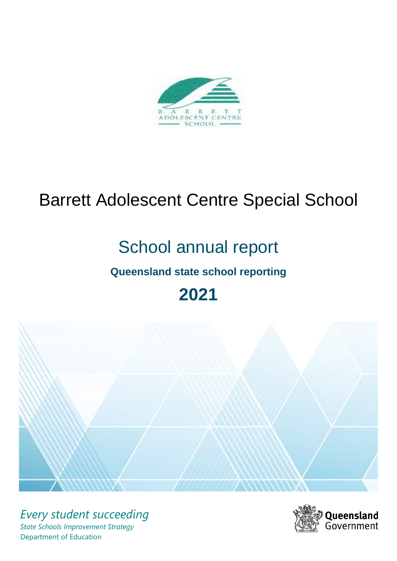

# Barrett Adolescent Centre Special School

# School annual report

# **Queensland state school reporting**

# **2021**



*Every student succeeding State Schools Improvement Strategy* Department of Education

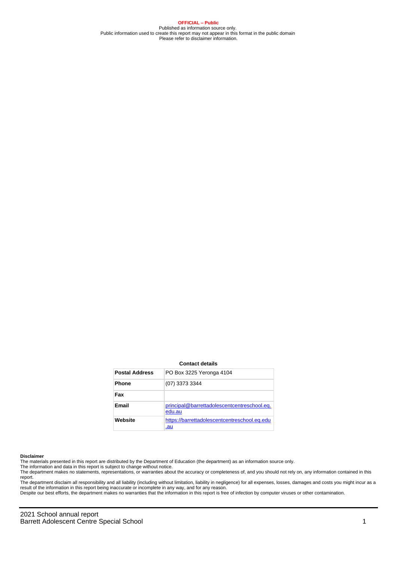**OFFICIAL – Public** Published as information source only. Public information used to create this report may not appear in this format in the public domain Please refer to disclaimer information.

#### **Contact details**

| <b>Postal Address</b> | PO Box 3225 Yeronga 4104                              |
|-----------------------|-------------------------------------------------------|
| <b>Phone</b>          | (07) 3373 3344                                        |
| Fax                   |                                                       |
| Email                 | principal@barrettadolescentcentreschool.eq.<br>edu.au |
| Website               | https://barrettadolescentcentreschool.eq.edu<br>.au   |

#### **Disclaimer**

The materials presented in this report are distributed by the Department of Education (the department) as an information source only.

The information and data in this report is subject to change without notice.

The department makes no statements, representations, or warranties about the accuracy or completeness of, and you should not rely on, any information contained in this report.

The department disclaim all responsibility and all liability (including without limitation, liability in negligence) for all expenses, losses, damages and costs you might incur as a result of the information in this report being inaccurate or incomplete in any way, and for any reason.

Despite our best efforts, the department makes no warranties that the information in this report is free of infection by computer viruses or other contamination.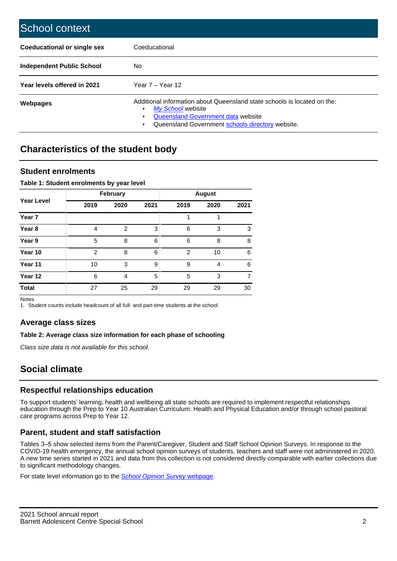| School context                   |                                                                                                                                                                                         |
|----------------------------------|-----------------------------------------------------------------------------------------------------------------------------------------------------------------------------------------|
| Coeducational or single sex      | Coeducational                                                                                                                                                                           |
| <b>Independent Public School</b> | No.                                                                                                                                                                                     |
| Year levels offered in 2021      | Year $7 -$ Year 12                                                                                                                                                                      |
| Webpages                         | Additional information about Queensland state schools is located on the:<br>My School website<br>Queensland Government data website<br>Queensland Government schools directory website. |

# **Characteristics of the student body**

## **Student enrolments**

#### **Table 1: Student enrolments by year level**

|                   |                | <b>February</b> |      |                |      |      |
|-------------------|----------------|-----------------|------|----------------|------|------|
| <b>Year Level</b> | 2019           | 2020            | 2021 | 2019           | 2020 | 2021 |
| Year 7            |                |                 |      |                |      |      |
| Year <sub>8</sub> | 4              | $\overline{2}$  | 3    | 6              | 3    | 3    |
| Year 9            | 5              | 8               | 6    | 6              | 8    | 8    |
| Year 10           | $\overline{2}$ | 8               | 6    | $\overline{2}$ | 10   | 6    |
| Year 11           | 10             | 3               | 9    | 9              | 4    | 6    |
| Year 12           | 6              | 4               | 5    | 5              | 3    | 7    |
| <b>Total</b>      | 27             | 25              | 29   | 29             | 29   | 30   |

Notes

1. Student counts include headcount of all full- and part-time students at the school.

## **Average class sizes**

## **Table 2: Average class size information for each phase of schooling**

Class size data is not available for this school.

# **Social climate**

## **Respectful relationships education**

To support students' learning, health and wellbeing all state schools are required to implement respectful relationships education through the Prep to Year 10 Australian Curriculum: Health and Physical Education and/or through school pastoral care programs across Prep to Year 12.

## **Parent, student and staff satisfaction**

Tables 3–5 show selected items from the Parent/Caregiver, Student and Staff School Opinion Surveys. In response to the COVID-19 health emergency, the annual school opinion surveys of students, teachers and staff were not administered in 2020. A new time series started in 2021 and data from this collection is not considered directly comparable with earlier collections due to significant methodology changes.

For state level information go to the **[School Opinion Survey](https://qed.qld.gov.au/publications/reports/statistics/schooling/schools/schoolopinionsurvey) webpage**.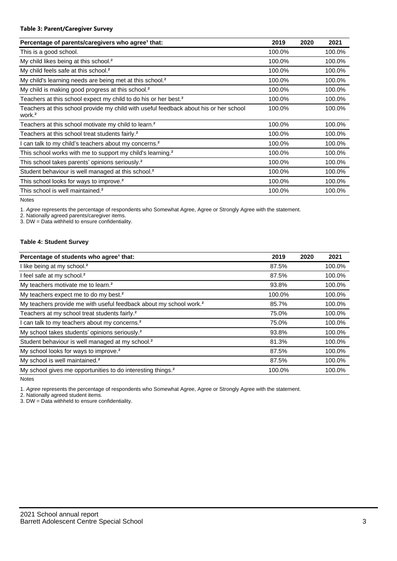#### **Table 3: Parent/Caregiver Survey**

| Percentage of parents/caregivers who agree <sup>1</sup> that:                                               | 2019   | 2020 | 2021   |
|-------------------------------------------------------------------------------------------------------------|--------|------|--------|
| This is a good school.                                                                                      | 100.0% |      | 100.0% |
| My child likes being at this school. <sup>2</sup>                                                           | 100.0% |      | 100.0% |
| My child feels safe at this school. <sup>2</sup>                                                            | 100.0% |      | 100.0% |
| My child's learning needs are being met at this school. <sup>2</sup>                                        | 100.0% |      | 100.0% |
| My child is making good progress at this school. <sup>2</sup>                                               | 100.0% |      | 100.0% |
| Teachers at this school expect my child to do his or her best. <sup>2</sup>                                 | 100.0% |      | 100.0% |
| Teachers at this school provide my child with useful feedback about his or her school<br>work. <sup>2</sup> | 100.0% |      | 100.0% |
| Teachers at this school motivate my child to learn. <sup>2</sup>                                            | 100.0% |      | 100.0% |
| Teachers at this school treat students fairly. <sup>2</sup>                                                 | 100.0% |      | 100.0% |
| can talk to my child's teachers about my concerns. <sup>2</sup>                                             | 100.0% |      | 100.0% |
| This school works with me to support my child's learning. <sup>2</sup>                                      | 100.0% |      | 100.0% |
| This school takes parents' opinions seriously. <sup>2</sup>                                                 | 100.0% |      | 100.0% |
| Student behaviour is well managed at this school. <sup>2</sup>                                              | 100.0% |      | 100.0% |
| This school looks for ways to improve. <sup>2</sup>                                                         | 100.0% |      | 100.0% |
| This school is well maintained. <sup>2</sup>                                                                | 100.0% |      | 100.0% |

Notes

1. Agree represents the percentage of respondents who Somewhat Agree, Agree or Strongly Agree with the statement.

2. Nationally agreed parents/caregiver items.

3. DW = Data withheld to ensure confidentiality.

#### **Table 4: Student Survey**

| Percentage of students who agree <sup>1</sup> that:                            | 2019   | 2020 | 2021   |
|--------------------------------------------------------------------------------|--------|------|--------|
| I like being at my school. <sup>2</sup>                                        | 87.5%  |      | 100.0% |
| I feel safe at my school. <sup>2</sup>                                         | 87.5%  |      | 100.0% |
| My teachers motivate me to learn. <sup>2</sup>                                 | 93.8%  |      | 100.0% |
| My teachers expect me to do my best. <sup>2</sup>                              | 100.0% |      | 100.0% |
| My teachers provide me with useful feedback about my school work. <sup>2</sup> | 85.7%  |      | 100.0% |
| Teachers at my school treat students fairly. <sup>2</sup>                      | 75.0%  |      | 100.0% |
| can talk to my teachers about my concerns. <sup>2</sup>                        | 75.0%  |      | 100.0% |
| My school takes students' opinions seriously. <sup>2</sup>                     | 93.8%  |      | 100.0% |
| Student behaviour is well managed at my school. <sup>2</sup>                   | 81.3%  |      | 100.0% |
| My school looks for ways to improve. <sup>2</sup>                              | 87.5%  |      | 100.0% |
| My school is well maintained. <sup>2</sup>                                     | 87.5%  |      | 100.0% |
| My school gives me opportunities to do interesting things. <sup>2</sup>        | 100.0% |      | 100.0% |

Notes

1. Agree represents the percentage of respondents who Somewhat Agree, Agree or Strongly Agree with the statement.

2. Nationally agreed student items.

3. DW = Data withheld to ensure confidentiality.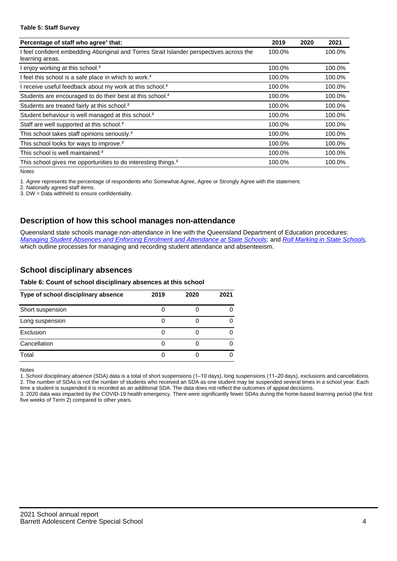#### **Table 5: Staff Survey**

| Percentage of staff who agree <sup>1</sup> that:                                                            | 2019   | 2020 | 2021   |
|-------------------------------------------------------------------------------------------------------------|--------|------|--------|
| I feel confident embedding Aboriginal and Torres Strait Islander perspectives across the<br>learning areas. | 100.0% |      | 100.0% |
| l enjoy working at this school. <sup>2</sup>                                                                | 100.0% |      | 100.0% |
| I feel this school is a safe place in which to work. <sup>2</sup>                                           | 100.0% |      | 100.0% |
| I receive useful feedback about my work at this school. <sup>2</sup>                                        | 100.0% |      | 100.0% |
| Students are encouraged to do their best at this school. <sup>2</sup>                                       | 100.0% |      | 100.0% |
| Students are treated fairly at this school. <sup>2</sup>                                                    | 100.0% |      | 100.0% |
| Student behaviour is well managed at this school. <sup>2</sup>                                              | 100.0% |      | 100.0% |
| Staff are well supported at this school. <sup>2</sup>                                                       | 100.0% |      | 100.0% |
| This school takes staff opinions seriously. <sup>2</sup>                                                    | 100.0% |      | 100.0% |
| This school looks for ways to improve. <sup>2</sup>                                                         | 100.0% |      | 100.0% |
| This school is well maintained. <sup>2</sup>                                                                | 100.0% |      | 100.0% |
| This school gives me opportunities to do interesting things. <sup>2</sup>                                   | 100.0% |      | 100.0% |

Notes

1. Agree represents the percentage of respondents who Somewhat Agree, Agree or Strongly Agree with the statement.

2. Nationally agreed staff items.

3. DW = Data withheld to ensure confidentiality.

## **Description of how this school manages non-attendance**

Queensland state schools manage non-attendance in line with the Queensland Department of Education procedures: [Managing Student Absences and Enforcing Enrolment and Attendance at State Schools](https://ppr.qed.qld.gov.au/pp/managing-student-absences-and-enforcing-enrolment-and-attendance-at-state-schools-procedure); and [Roll Marking in State Schools,](https://ppr.qed.qld.gov.au/pp/roll-marking-in-state-schools-procedure) which outline processes for managing and recording student attendance and absenteeism.

## **School disciplinary absences**

#### **Table 6: Count of school disciplinary absences at this school**

| Type of school disciplinary absence | 2019 | 2020 | 2021 |
|-------------------------------------|------|------|------|
| Short suspension                    |      |      |      |
| Long suspension                     |      |      |      |
| Exclusion                           |      |      |      |
| Cancellation                        |      |      |      |
| Total                               |      |      |      |

Notes

1. School disciplinary absence (SDA) data is a total of short suspensions (1–10 days), long suspensions (11–20 days), exclusions and cancellations. 2. The number of SDAs is not the number of students who received an SDA as one student may be suspended several times in a school year. Each time a student is suspended it is recorded as an additional SDA. The data does not reflect the outcomes of appeal decisions.

3. 2020 data was impacted by the COVID-19 health emergency. There were significantly fewer SDAs during the home-based learning period (the first five weeks of Term 2) compared to other years.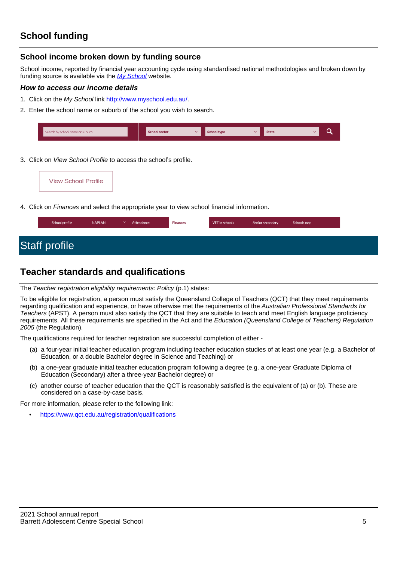## **School income broken down by funding source**

School income, reported by financial year accounting cycle using standardised national methodologies and broken down by funding source is available via the [My School](http://www.myschool.edu.au/) website.

## **How to access our income details**

- 1. Click on the My School link <http://www.myschool.edu.au/>.
- 2. Enter the school name or suburb of the school you wish to search.

| Search by school name or suburb | <b>School sector</b> | $\overline{\phantom{a}}$ | School type | <b>State</b> |  |
|---------------------------------|----------------------|--------------------------|-------------|--------------|--|
|                                 |                      |                          |             |              |  |

3. Click on View School Profile to access the school's profile.

| <b>View School Profile</b> |
|----------------------------|
|----------------------------|

4. Click on Finances and select the appropriate year to view school financial information.

# **Teacher standards and qualifications**

The Teacher registration eligibility requirements: Policy (p.1) states:

To be eligible for registration, a person must satisfy the Queensland College of Teachers (QCT) that they meet requirements regarding qualification and experience, or have otherwise met the requirements of the Australian Professional Standards for Teachers (APST). A person must also satisfy the QCT that they are suitable to teach and meet English language proficiency requirements. All these requirements are specified in the Act and the Education (Queensland College of Teachers) Regulation 2005 (the Regulation).

The qualifications required for teacher registration are successful completion of either -

- (a) a four-year initial teacher education program including teacher education studies of at least one year (e.g. a Bachelor of Education, or a double Bachelor degree in Science and Teaching) or
- (b) a one-year graduate initial teacher education program following a degree (e.g. a one-year Graduate Diploma of Education (Secondary) after a three-year Bachelor degree) or
- (c) another course of teacher education that the QCT is reasonably satisfied is the equivalent of (a) or (b). These are considered on a case-by-case basis.

For more information, please refer to the following link:

• <https://www.qct.edu.au/registration/qualifications>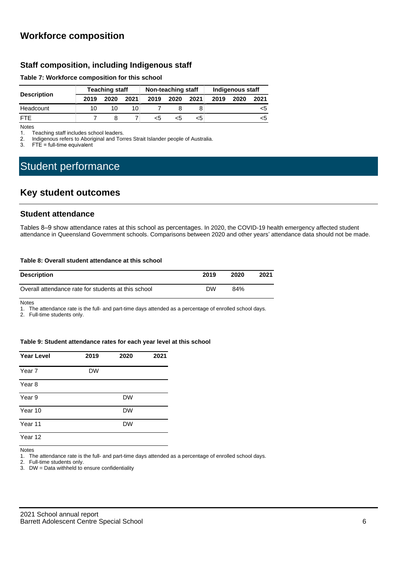## **Workforce composition**

## **Staff composition, including Indigenous staff**

#### **Table 7: Workforce composition for this school**

|                    | <b>Teaching staff</b> |      |      | Non-teaching staff |      |      | Indigenous staff |      |      |
|--------------------|-----------------------|------|------|--------------------|------|------|------------------|------|------|
| <b>Description</b> | 2019                  | 2020 | 2021 | 2019               | 2020 | 2021 | 2019             | 2020 | 2021 |
| Headcount          | 10                    |      | 10.  |                    |      |      |                  |      | כ>   |
| <b>FTE</b>         |                       |      |      | <5                 | <5   | <5   |                  |      | <5   |

Notes<br>1. T

Teaching staff includes school leaders.

2. Indigenous refers to Aboriginal and Torres Strait Islander people of Australia.<br>3. ETF = full-time equivalent

 $FTE = full-time equivalent$ 

# Student performance

## **Key student outcomes**

## **Student attendance**

Tables 8–9 show attendance rates at this school as percentages. In 2020, the COVID-19 health emergency affected student attendance in Queensland Government schools. Comparisons between 2020 and other years' attendance data should not be made.

#### **Table 8: Overall student attendance at this school**

| <b>Description</b>                                  | 2019 | 2020 | 2021 |
|-----------------------------------------------------|------|------|------|
| Overall attendance rate for students at this school | DW   | 84%  |      |

Notes

1. The attendance rate is the full- and part-time days attended as a percentage of enrolled school days.

2. Full-time students only.

#### **Table 9: Student attendance rates for each year level at this school**

| <b>Year Level</b> | 2019      | 2020 | 2021 |  |
|-------------------|-----------|------|------|--|
| Year 7            | <b>DW</b> |      |      |  |
| Year 8            |           |      |      |  |
| Year 9            |           | DW   |      |  |
| Year 10           |           | DW   |      |  |
| Year 11           |           | DW   |      |  |
| Year 12           |           |      |      |  |

Notes

1. The attendance rate is the full- and part-time days attended as a percentage of enrolled school days.

2. Full-time students only.

3. DW = Data withheld to ensure confidentiality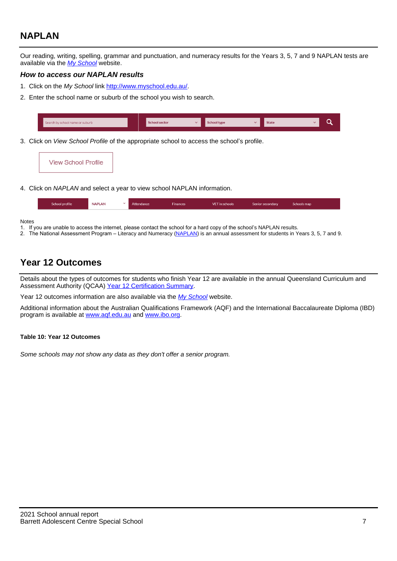# **NAPLAN**

Our reading, writing, spelling, grammar and punctuation, and numeracy results for the Years 3, 5, 7 and 9 NAPLAN tests are available via the [My School](http://www.myschool.edu.au/) website.

## **How to access our NAPLAN results**

- 1. Click on the My School link <http://www.myschool.edu.au/>.
- 2. Enter the school name or suburb of the school you wish to search.

|  |  | Search by school name or suburb |  | <b>School sector</b> | $\sim$ | <b>School type</b> |  | <b>State</b> |  |  |
|--|--|---------------------------------|--|----------------------|--------|--------------------|--|--------------|--|--|
|--|--|---------------------------------|--|----------------------|--------|--------------------|--|--------------|--|--|

3. Click on View School Profile of the appropriate school to access the school's profile.



4. Click on NAPLAN and select a year to view school NAPLAN information.

| School profile | <b>NAPLAN</b><br>$\sim$ | Attendance | <b>Finances</b> | <b>VET</b> in schools | Senior secondary | Schools map |
|----------------|-------------------------|------------|-----------------|-----------------------|------------------|-------------|
|                |                         |            |                 |                       |                  |             |

**Notes** 

- 1. If you are unable to access the internet, please contact the school for a hard copy of the school's NAPLAN results.<br>2. The National Assessment Program Literacy and Numeracy (NAPLAN) is an annual assessment for student
- 2. The National Assessment Program Literacy and Numeracy ([NAPLAN\)](http://www.nap.edu.au/naplan) is an annual assessment for students in Years 3, 5, 7 and 9.

## **Year 12 Outcomes**

Details about the types of outcomes for students who finish Year 12 are available in the annual Queensland Curriculum and Assessment Authority (QCAA) [Year 12 Certification Summary](https://www.qcaa.qld.edu.au/about/publications/statistics).

Year 12 outcomes information are also available via the [My School](http://www.myschool.edu.au/) website.

Additional information about the Australian Qualifications Framework (AQF) and the International Baccalaureate Diploma (IBD) program is available at [www.aqf.edu.au](https://www.aqf.edu.au/) and [www.ibo.org](https://www.ibo.org/).

#### **Table 10: Year 12 Outcomes**

Some schools may not show any data as they don't offer a senior program.